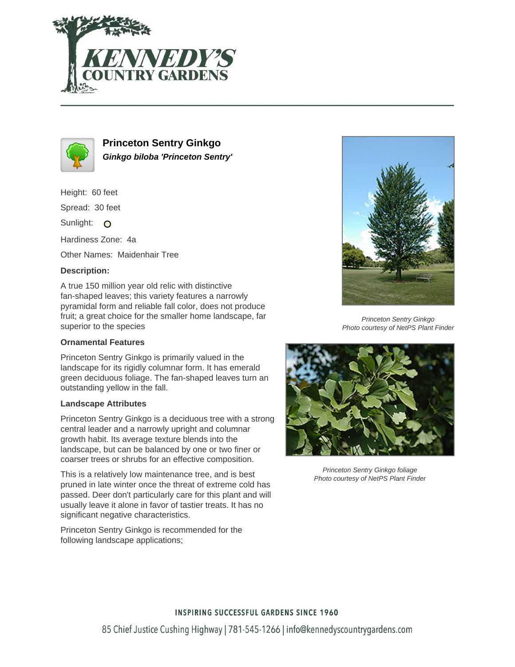



**Princeton Sentry Ginkgo Ginkgo biloba 'Princeton Sentry'**

Height: 60 feet

Spread: 30 feet

Sunlight: O

Hardiness Zone: 4a

Other Names: Maidenhair Tree

## **Description:**

A true 150 million year old relic with distinctive fan-shaped leaves; this variety features a narrowly pyramidal form and reliable fall color, does not produce fruit; a great choice for the smaller home landscape, far superior to the species

## **Ornamental Features**

Princeton Sentry Ginkgo is primarily valued in the landscape for its rigidly columnar form. It has emerald green deciduous foliage. The fan-shaped leaves turn an outstanding yellow in the fall.

## **Landscape Attributes**

Princeton Sentry Ginkgo is a deciduous tree with a strong central leader and a narrowly upright and columnar growth habit. Its average texture blends into the landscape, but can be balanced by one or two finer or coarser trees or shrubs for an effective composition.

This is a relatively low maintenance tree, and is best pruned in late winter once the threat of extreme cold has passed. Deer don't particularly care for this plant and will usually leave it alone in favor of tastier treats. It has no significant negative characteristics.

Princeton Sentry Ginkgo is recommended for the following landscape applications;



Princeton Sentry Ginkgo Photo courtesy of NetPS Plant Finder



Princeton Sentry Ginkgo foliage Photo courtesy of NetPS Plant Finder